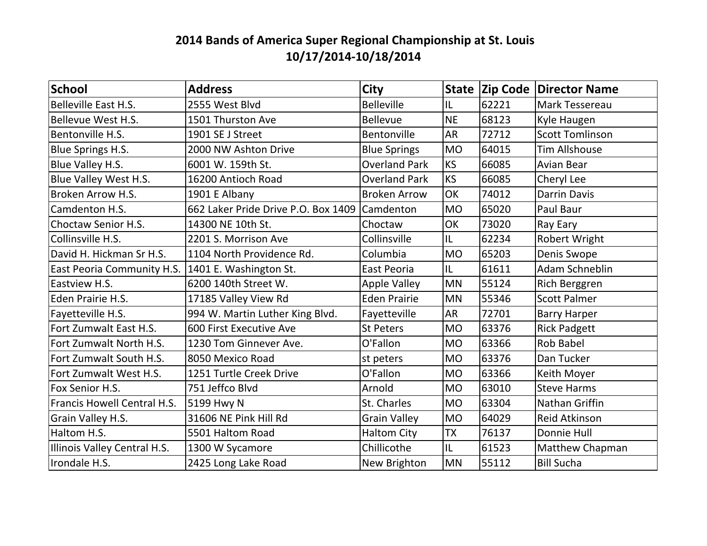## **2014 Bands of America Super Regional Championship at St. Louis 10/17/2014-10/18/2014**

| School                       | <b>Address</b>                      | <b>City</b>          |           |       | <b>State Zip Code Director Name</b> |
|------------------------------|-------------------------------------|----------------------|-----------|-------|-------------------------------------|
| Belleville East H.S.         | 2555 West Blvd                      | <b>Belleville</b>    | IL        | 62221 | Mark Tessereau                      |
| <b>Bellevue West H.S.</b>    | 1501 Thurston Ave                   | <b>Bellevue</b>      | <b>NE</b> | 68123 | Kyle Haugen                         |
| Bentonville H.S.             | 1901 SE J Street                    | <b>Bentonville</b>   | <b>AR</b> | 72712 | <b>Scott Tomlinson</b>              |
| Blue Springs H.S.            | 2000 NW Ashton Drive                | <b>Blue Springs</b>  | <b>MO</b> | 64015 | <b>Tim Allshouse</b>                |
| Blue Valley H.S.             | 6001 W. 159th St.                   | <b>Overland Park</b> | <b>KS</b> | 66085 | <b>Avian Bear</b>                   |
| Blue Valley West H.S.        | 16200 Antioch Road                  | <b>Overland Park</b> | <b>KS</b> | 66085 | Cheryl Lee                          |
| Broken Arrow H.S.            | 1901 E Albany                       | <b>Broken Arrow</b>  | OK        | 74012 | <b>Darrin Davis</b>                 |
| Camdenton H.S.               | 662 Laker Pride Drive P.O. Box 1409 | <b>Camdenton</b>     | <b>MO</b> | 65020 | Paul Baur                           |
| Choctaw Senior H.S.          | 14300 NE 10th St.                   | Choctaw              | <b>OK</b> | 73020 | Ray Eary                            |
| Collinsville H.S.            | 2201 S. Morrison Ave                | Collinsville         | IL        | 62234 | Robert Wright                       |
| David H. Hickman Sr H.S.     | 1104 North Providence Rd.           | Columbia             | <b>MO</b> | 65203 | Denis Swope                         |
| East Peoria Community H.S.   | 1401 E. Washington St.              | East Peoria          | IL        | 61611 | Adam Schneblin                      |
| Eastview H.S.                | 6200 140th Street W.                | Apple Valley         | <b>MN</b> | 55124 | <b>Rich Berggren</b>                |
| Eden Prairie H.S.            | 17185 Valley View Rd                | <b>Eden Prairie</b>  | <b>MN</b> | 55346 | <b>Scott Palmer</b>                 |
| Fayetteville H.S.            | 994 W. Martin Luther King Blvd.     | Fayetteville         | <b>AR</b> | 72701 | <b>Barry Harper</b>                 |
| Fort Zumwalt East H.S.       | 600 First Executive Ave             | <b>St Peters</b>     | <b>MO</b> | 63376 | <b>Rick Padgett</b>                 |
| Fort Zumwalt North H.S.      | 1230 Tom Ginnever Ave.              | O'Fallon             | <b>MO</b> | 63366 | <b>Rob Babel</b>                    |
| Fort Zumwalt South H.S.      | 8050 Mexico Road                    | st peters            | <b>MO</b> | 63376 | Dan Tucker                          |
| Fort Zumwalt West H.S.       | 1251 Turtle Creek Drive             | O'Fallon             | <b>MO</b> | 63366 | <b>Keith Moyer</b>                  |
| Fox Senior H.S.              | 751 Jeffco Blvd                     | Arnold               | <b>MO</b> | 63010 | <b>Steve Harms</b>                  |
| Francis Howell Central H.S.  | 5199 Hwy N                          | St. Charles          | <b>MO</b> | 63304 | Nathan Griffin                      |
| Grain Valley H.S.            | 31606 NE Pink Hill Rd               | <b>Grain Valley</b>  | <b>MO</b> | 64029 | <b>Reid Atkinson</b>                |
| Haltom H.S.                  | 5501 Haltom Road                    | <b>Haltom City</b>   | <b>TX</b> | 76137 | Donnie Hull                         |
| Illinois Valley Central H.S. | 1300 W Sycamore                     | Chillicothe          | IL        | 61523 | Matthew Chapman                     |
| Irondale H.S.                | 2425 Long Lake Road                 | New Brighton         | <b>MN</b> | 55112 | <b>Bill Sucha</b>                   |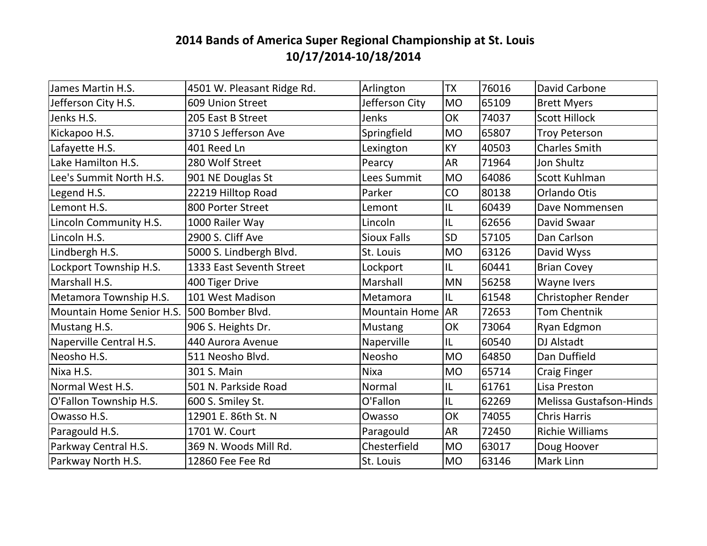## **2014 Bands of America Super Regional Championship at St. Louis 10/17/2014-10/18/2014**

| James Martin H.S.         | 4501 W. Pleasant Ridge Rd. | Arlington            | <b>TX</b>      | 76016 | David Carbone                  |
|---------------------------|----------------------------|----------------------|----------------|-------|--------------------------------|
| Jefferson City H.S.       | 609 Union Street           | Jefferson City       | <b>MO</b>      | 65109 | <b>Brett Myers</b>             |
| Jenks H.S.                | 205 East B Street          | Jenks                | OK             | 74037 | <b>Scott Hillock</b>           |
| Kickapoo H.S.             | 3710 S Jefferson Ave       | Springfield          | <b>MO</b>      | 65807 | <b>Troy Peterson</b>           |
| Lafayette H.S.            | 401 Reed Ln                | Lexington            | KY             | 40503 | <b>Charles Smith</b>           |
| Lake Hamilton H.S.        | 280 Wolf Street            | Pearcy               | <b>AR</b>      | 71964 | <b>Jon Shultz</b>              |
| Lee's Summit North H.S.   | 901 NE Douglas St          | Lees Summit          | <b>MO</b>      | 64086 | Scott Kuhlman                  |
| Legend H.S.               | 22219 Hilltop Road         | Parker               | CO             | 80138 | Orlando Otis                   |
| Lemont H.S.               | 800 Porter Street          | Lemont               | IL             | 60439 | Dave Nommensen                 |
| Lincoln Community H.S.    | 1000 Railer Way            | Lincoln              | IL             | 62656 | David Swaar                    |
| Lincoln H.S.              | 2900 S. Cliff Ave          | <b>Sioux Falls</b>   | <b>SD</b>      | 57105 | Dan Carlson                    |
| Lindbergh H.S.            | 5000 S. Lindbergh Blvd.    | St. Louis            | <b>MO</b>      | 63126 | David Wyss                     |
| Lockport Township H.S.    | 1333 East Seventh Street   | Lockport             | IL             | 60441 | <b>Brian Covey</b>             |
| Marshall H.S.             | 400 Tiger Drive            | Marshall             | <b>MN</b>      | 56258 | Wayne Ivers                    |
| Metamora Township H.S.    | 101 West Madison           | Metamora             | IL             | 61548 | <b>Christopher Render</b>      |
| Mountain Home Senior H.S. | 500 Bomber Blvd.           | <b>Mountain Home</b> | AR <sup></sup> | 72653 | <b>Tom Chentnik</b>            |
| Mustang H.S.              | 906 S. Heights Dr.         | Mustang              | OK             | 73064 | Ryan Edgmon                    |
| Naperville Central H.S.   | 440 Aurora Avenue          | Naperville           | IL             | 60540 | <b>DJ Alstadt</b>              |
| Neosho H.S.               | 511 Neosho Blvd.           | Neosho               | <b>MO</b>      | 64850 | Dan Duffield                   |
| Nixa H.S.                 | 301 S. Main                | Nixa                 | <b>MO</b>      | 65714 | <b>Craig Finger</b>            |
| Normal West H.S.          | 501 N. Parkside Road       | Normal               | IL             | 61761 | Lisa Preston                   |
| O'Fallon Township H.S.    | 600 S. Smiley St.          | O'Fallon             | IL             | 62269 | <b>Melissa Gustafson-Hinds</b> |
| Owasso H.S.               | 12901 E. 86th St. N        | Owasso               | OK             | 74055 | <b>Chris Harris</b>            |
| Paragould H.S.            | 1701 W. Court              | Paragould            | <b>AR</b>      | 72450 | <b>Richie Williams</b>         |
| Parkway Central H.S.      | 369 N. Woods Mill Rd.      | Chesterfield         | <b>MO</b>      | 63017 | Doug Hoover                    |
| Parkway North H.S.        | 12860 Fee Fee Rd           | St. Louis            | <b>MO</b>      | 63146 | <b>Mark Linn</b>               |